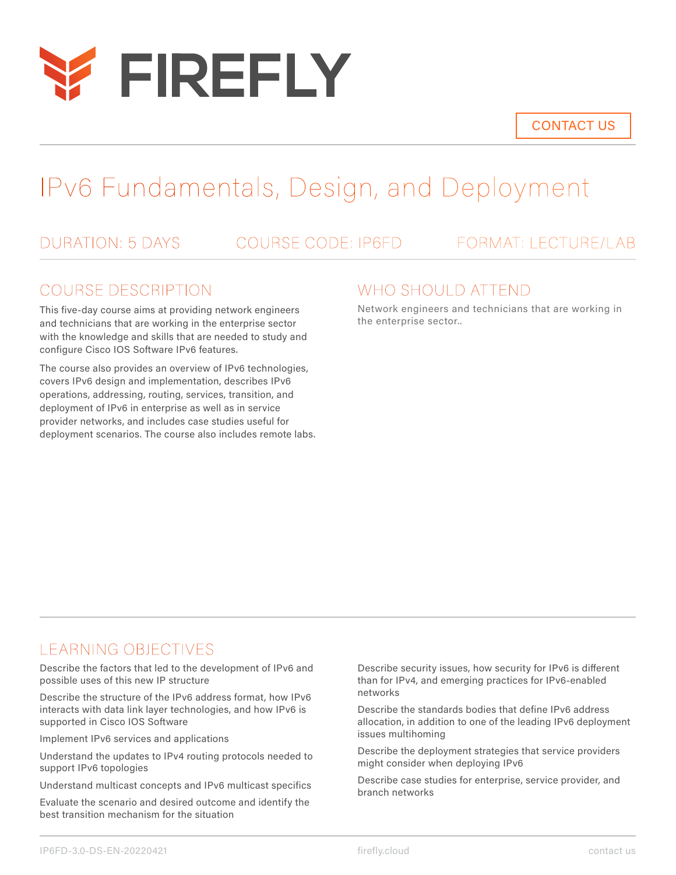

CONTACT US

# IPv6 Fundamentals, Design, and Deployment

DURATION: 5 DAYS COURSE CODE: IP6FD FORMAT: LECTURE/LAB

## COURSE DESCRIPTION

This five-day course aims at providing network engineers and technicians that are working in the enterprise sector with the knowledge and skills that are needed to study and configure Cisco IOS Software IPv6 features.

The course also provides an overview of IPv6 technologies, covers IPv6 design and implementation, describes IPv6 operations, addressing, routing, services, transition, and deployment of IPv6 in enterprise as well as in service provider networks, and includes case studies useful for deployment scenarios. The course also includes remote labs.

## WHO SHOULD ATTEND

Network engineers and technicians that are working in the enterprise sector..

## LEARNING OBJECTIVES

Describe the factors that led to the development of IPv6 and possible uses of this new IP structure

Describe the structure of the IPv6 address format, how IPv6 interacts with data link layer technologies, and how IPv6 is supported in Cisco IOS Software

Implement IPv6 services and applications

Understand the updates to IPv4 routing protocols needed to support IPv6 topologies

Understand multicast concepts and IPv6 multicast specifics

Evaluate the scenario and desired outcome and identify the best transition mechanism for the situation

Describe security issues, how security for IPv6 is different than for IPv4, and emerging practices for IPv6-enabled networks

Describe the standards bodies that define IPv6 address allocation, in addition to one of the leading IPv6 deployment issues multihoming

Describe the deployment strategies that service providers might consider when deploying IPv6

Describe case studies for enterprise, service provider, and branch networks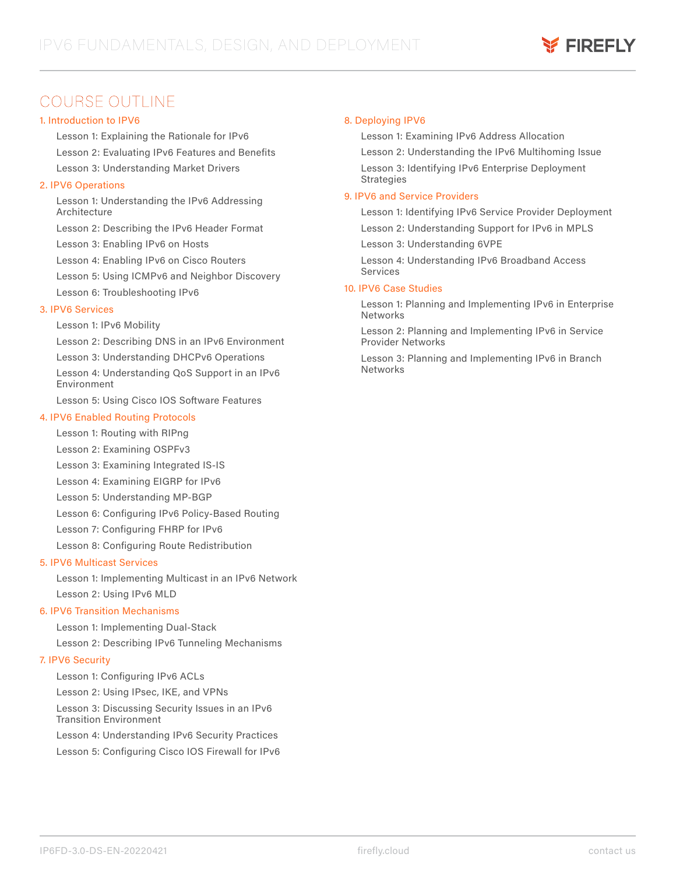## COURSE OUTLINE

#### 1. Introduction to IPV6

Lesson 1: Explaining the Rationale for IPv6 Lesson 2: Evaluating IPv6 Features and Benefits Lesson 3: Understanding Market Drivers

#### 2. IPV6 Operations

Lesson 1: Understanding the IPv6 Addressing **Architecture** 

Lesson 2: Describing the IPv6 Header Format

Lesson 3: Enabling IPv6 on Hosts

Lesson 4: Enabling IPv6 on Cisco Routers

Lesson 5: Using ICMPv6 and Neighbor Discovery

Lesson 6: Troubleshooting IPv6

### 3. IPV6 Services

Lesson 1: IPv6 Mobility

Lesson 2: Describing DNS in an IPv6 Environment

Lesson 3: Understanding DHCPv6 Operations

Lesson 4: Understanding QoS Support in an IPv6 Environment

Lesson 5: Using Cisco IOS Software Features

#### 4. IPV6 Enabled Routing Protocols

Lesson 1: Routing with RIPng

Lesson 2: Examining OSPFv3

Lesson 3: Examining Integrated IS-IS

Lesson 4: Examining EIGRP for IPv6

Lesson 5: Understanding MP-BGP

Lesson 6: Configuring IPv6 Policy-Based Routing

Lesson 7: Configuring FHRP for IPv6

Lesson 8: Configuring Route Redistribution

### 5. IPV6 Multicast Services

Lesson 1: Implementing Multicast in an IPv6 Network

Lesson 2: Using IPv6 MLD

### 6. IPV6 Transition Mechanisms

Lesson 1: Implementing Dual-Stack

Lesson 2: Describing IPv6 Tunneling Mechanisms

#### 7. IPV6 Security

Lesson 1: Configuring IPv6 ACLs

Lesson 2: Using IPsec, IKE, and VPNs

Lesson 3: Discussing Security Issues in an IPv6 Transition Environment

Lesson 4: Understanding IPv6 Security Practices

Lesson 5: Configuring Cisco IOS Firewall for IPv6

#### 8. Deploying IPV6

Lesson 1: Examining IPv6 Address Allocation Lesson 2: Understanding the IPv6 Multihoming Issue Lesson 3: Identifying IPv6 Enterprise Deployment **Strategies** 

#### 9. IPV6 and Service Providers

Lesson 1: Identifying IPv6 Service Provider Deployment Lesson 2: Understanding Support for IPv6 in MPLS

Lesson 3: Understanding 6VPE

Lesson 4: Understanding IPv6 Broadband Access Services

#### 10. IPV6 Case Studies

Lesson 1: Planning and Implementing IPv6 in Enterprise Networks

Lesson 2: Planning and Implementing IPv6 in Service Provider Networks

Lesson 3: Planning and Implementing IPv6 in Branch **Networks**